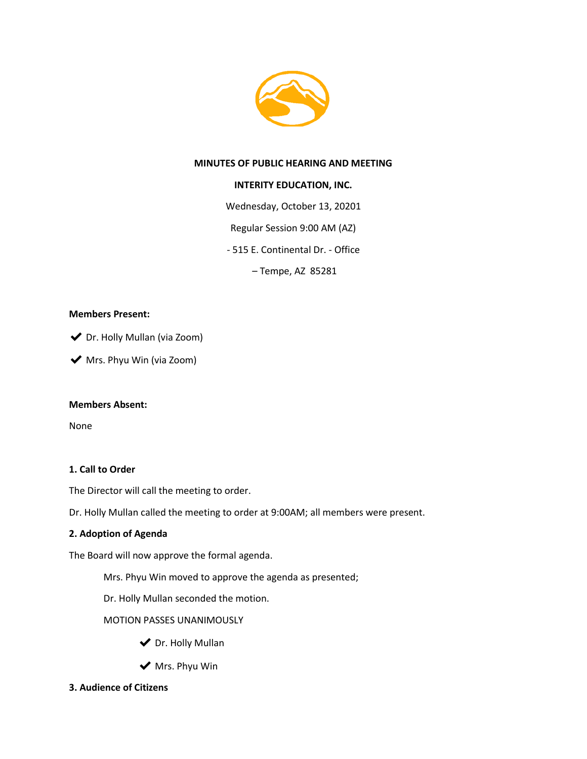

### **MINUTES OF PUBLIC HEARING AND MEETING**

### **INTERITY EDUCATION, INC.**

Wednesday, October 13, 20201

Regular Session 9:00 AM (AZ)

- 515 E. Continental Dr. - Office

– Tempe, AZ 85281

### **Members Present:**

◆ Dr. Holly Mullan (via Zoom)

◆ Mrs. Phyu Win (via Zoom)

### **Members Absent:**

None

### **1. Call to Order**

The Director will call the meeting to order.

Dr. Holly Mullan called the meeting to order at 9:00AM; all members were present.

### **2. Adoption of Agenda**

The Board will now approve the formal agenda.

Mrs. Phyu Win moved to approve the agenda as presented;

Dr. Holly Mullan seconded the motion.

MOTION PASSES UNANIMOUSLY

- ◆ Dr. Holly Mullan
- $\blacktriangleright$  Mrs. Phyu Win
- **3. Audience of Citizens**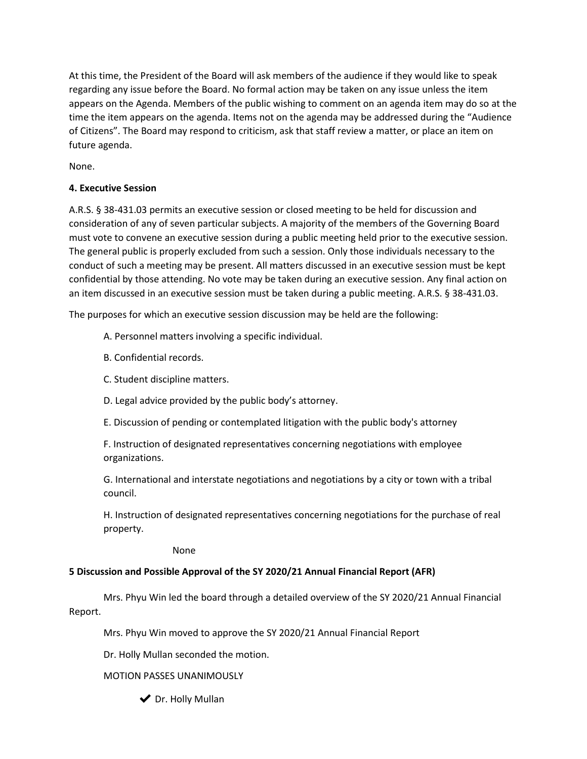At this time, the President of the Board will ask members of the audience if they would like to speak regarding any issue before the Board. No formal action may be taken on any issue unless the item appears on the Agenda. Members of the public wishing to comment on an agenda item may do so at the time the item appears on the agenda. Items not on the agenda may be addressed during the "Audience of Citizens". The Board may respond to criticism, ask that staff review a matter, or place an item on future agenda.

None.

## **4. Executive Session**

A.R.S. § 38-431.03 permits an executive session or closed meeting to be held for discussion and consideration of any of seven particular subjects. A majority of the members of the Governing Board must vote to convene an executive session during a public meeting held prior to the executive session. The general public is properly excluded from such a session. Only those individuals necessary to the conduct of such a meeting may be present. All matters discussed in an executive session must be kept confidential by those attending. No vote may be taken during an executive session. Any final action on an item discussed in an executive session must be taken during a public meeting. A.R.S. § 38-431.03.

The purposes for which an executive session discussion may be held are the following:

A. Personnel matters involving a specific individual.

- B. Confidential records.
- C. Student discipline matters.
- D. Legal advice provided by the public body's attorney.
- E. Discussion of pending or contemplated litigation with the public body's attorney

F. Instruction of designated representatives concerning negotiations with employee organizations.

G. International and interstate negotiations and negotiations by a city or town with a tribal council.

H. Instruction of designated representatives concerning negotiations for the purchase of real property.

None

## **5 Discussion and Possible Approval of the SY 2020/21 Annual Financial Report (AFR)**

Mrs. Phyu Win led the board through a detailed overview of the SY 2020/21 Annual Financial Report.

Mrs. Phyu Win moved to approve the SY 2020/21 Annual Financial Report

Dr. Holly Mullan seconded the motion.

## MOTION PASSES UNANIMOUSLY

◆ Dr. Holly Mullan